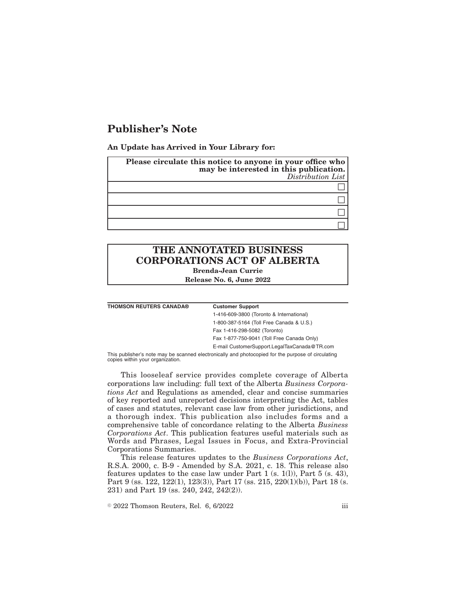# **Publisher's Note**

**An Update has Arrived in Your Library for:**

| Please circulate this notice to anyone in your office who<br>may be interested in this publication.<br>Distribution List |  |
|--------------------------------------------------------------------------------------------------------------------------|--|
|                                                                                                                          |  |
|                                                                                                                          |  |
|                                                                                                                          |  |
|                                                                                                                          |  |

## **THE ANNOTATED BUSINESS CORPORATIONS ACT OF ALBERTA Brenda-Jean Currie**

**Release No. 6, June 2022**

**THOMSON REUTERS CANADA® Customer Support**

1-416-609-3800 (Toronto & International) 1-800-387-5164 (Toll Free Canada & U.S.) Fax 1-416-298-5082 (Toronto) Fax 1-877-750-9041 (Toll Free Canada Only) E-mail CustomerSupport.LegalTaxCanada@TR.com

This publisher's note may be scanned electronically and photocopied for the purpose of circulating copies within your organization.

This looseleaf service provides complete coverage of Alberta corporations law including: full text of the Alberta *Business Corporations Act* and Regulations as amended, clear and concise summaries of key reported and unreported decisions interpreting the Act, tables of cases and statutes, relevant case law from other jurisdictions, and a thorough index. This publication also includes forms and a comprehensive table of concordance relating to the Alberta *Business Corporations Act*. This publication features useful materials such as Words and Phrases, Legal Issues in Focus, and Extra-Provincial Corporations Summaries.

This release features updates to the *Business Corporations Act*, R.S.A. 2000, c. B-9 - Amended by S.A. 2021, c. 18. This release also features updates to the case law under Part 1 (s. 1(l)), Part 5 (s. 43), Part 9 (ss. 122, 122(1), 123(3)), Part 17 (ss. 215, 220(1)(b)), Part 18 (s. 231) and Part 19 (ss. 240, 242, 242(2)).

 $\degree$  2022 Thomson Reuters, Rel. 6, 6/2022 iii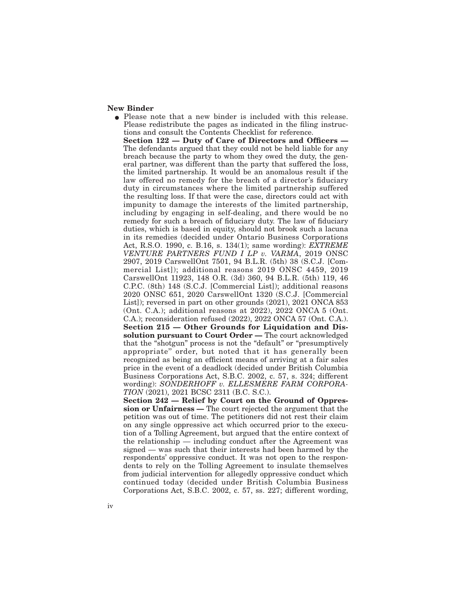### **New Binder**

• Please note that a new binder is included with this release. Please redistribute the pages as indicated in the filing instructions and consult the Contents Checklist for reference. **Section 122 — Duty of Care of Directors and Officers —** The defendants argued that they could not be held liable for any breach because the party to whom they owed the duty, the general partner, was different than the party that suffered the loss, the limited partnership. It would be an anomalous result if the law offered no remedy for the breach of a director's fiduciary duty in circumstances where the limited partnership suffered the resulting loss. If that were the case, directors could act with impunity to damage the interests of the limited partnership, including by engaging in self-dealing, and there would be no remedy for such a breach of fiduciary duty. The law of fiduciary duties, which is based in equity, should not brook such a lacuna in its remedies (decided under Ontario Business Corporations Act, R.S.O. 1990, c. B.16, s. 134(1); same wording): *EXTREME VENTURE PARTNERS FUND I LP v. VARMA*, 2019 ONSC 2907, 2019 CarswellOnt 7501, 94 B.L.R. (5th) 38 (S.C.J. [Commercial List]); additional reasons 2019 ONSC 4459, 2019 CarswellOnt 11923, 148 O.R. (3d) 360, 94 B.L.R. (5th) 119, 46 C.P.C. (8th) 148 (S.C.J. [Commercial List]); additional reasons 2020 ONSC 651, 2020 CarswellOnt 1320 (S.C.J. [Commercial List]); reversed in part on other grounds (2021), 2021 ONCA 853 (Ont. C.A.); additional reasons at 2022), 2022 ONCA 5 (Ont. C.A.); reconsideration refused (2022), 2022 ONCA 57 (Ont. C.A.). **Section 215 — Other Grounds for Liquidation and Dissolution pursuant to Court Order —** The court acknowledged that the "shotgun" process is not the "default" or "presumptively appropriate'' order, but noted that it has generally been recognized as being an efficient means of arriving at a fair sales price in the event of a deadlock (decided under British Columbia Business Corporations Act, S.B.C. 2002, c. 57, s. 324; different wording): *SONDERHOFF v. ELLESMERE FARM CORPORA-TION* (2021), 2021 BCSC 2311 (B.C. S.C.). **Section 242 — Relief by Court on the Ground of Oppres-**

**sion or Unfairness —** The court rejected the argument that the petition was out of time. The petitioners did not rest their claim on any single oppressive act which occurred prior to the execution of a Tolling Agreement, but argued that the entire context of the relationship — including conduct after the Agreement was signed — was such that their interests had been harmed by the respondents' oppressive conduct. It was not open to the respondents to rely on the Tolling Agreement to insulate themselves from judicial intervention for allegedly oppressive conduct which continued today (decided under British Columbia Business Corporations Act, S.B.C. 2002, c. 57, ss. 227; different wording,